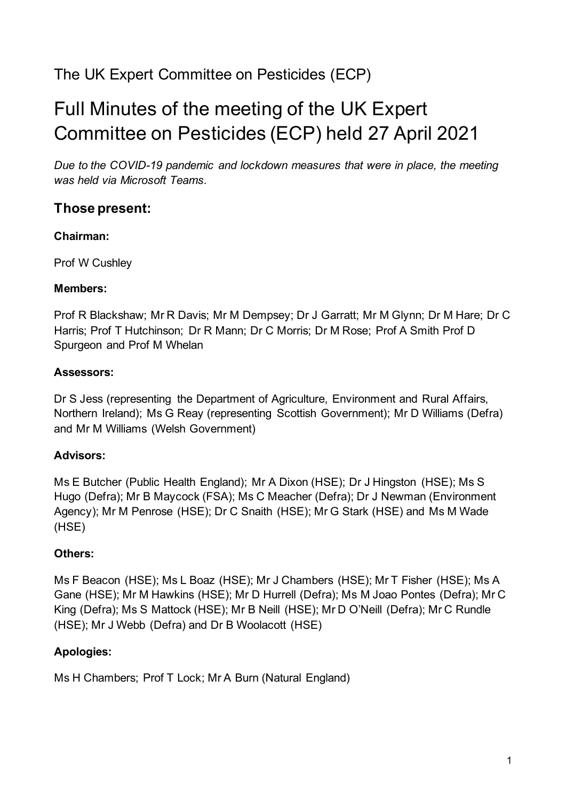# The UK Expert Committee on Pesticides (ECP)

# Full Minutes of the meeting of the UK Expert Committee on Pesticides (ECP) held 27 April 2021

*Due to the COVID-19 pandemic and lockdown measures that were in place, the meeting was held via Microsoft Teams.*

# **Those present:**

### **Chairman:**

Prof W Cushley

### **Members:**

Prof R Blackshaw; Mr R Davis; Mr M Dempsey; Dr J Garratt; Mr M Glynn; Dr M Hare; Dr C Harris; Prof T Hutchinson; Dr R Mann; Dr C Morris; Dr M Rose; Prof A Smith Prof D Spurgeon and Prof M Whelan

# **Assessors:**

Dr S Jess (representing the Department of Agriculture, Environment and Rural Affairs, Northern Ireland); Ms G Reay (representing Scottish Government); Mr D Williams (Defra) and Mr M Williams (Welsh Government)

# **Advisors:**

Ms E Butcher (Public Health England); Mr A Dixon (HSE); Dr J Hingston (HSE); Ms S Hugo (Defra); Mr B Maycock (FSA); Ms C Meacher (Defra); Dr J Newman (Environment Agency); Mr M Penrose (HSE); Dr C Snaith (HSE); Mr G Stark (HSE) and Ms M Wade (HSE)

# **Others:**

Ms F Beacon (HSE); Ms L Boaz (HSE); Mr J Chambers (HSE); Mr T Fisher (HSE); Ms A Gane (HSE); Mr M Hawkins (HSE); Mr D Hurrell (Defra); Ms M Joao Pontes (Defra); Mr C King (Defra); Ms S Mattock (HSE); Mr B Neill (HSE); Mr D O'Neill (Defra); Mr C Rundle (HSE); Mr J Webb (Defra) and Dr B Woolacott (HSE)

# **Apologies:**

Ms H Chambers; Prof T Lock; Mr A Burn (Natural England)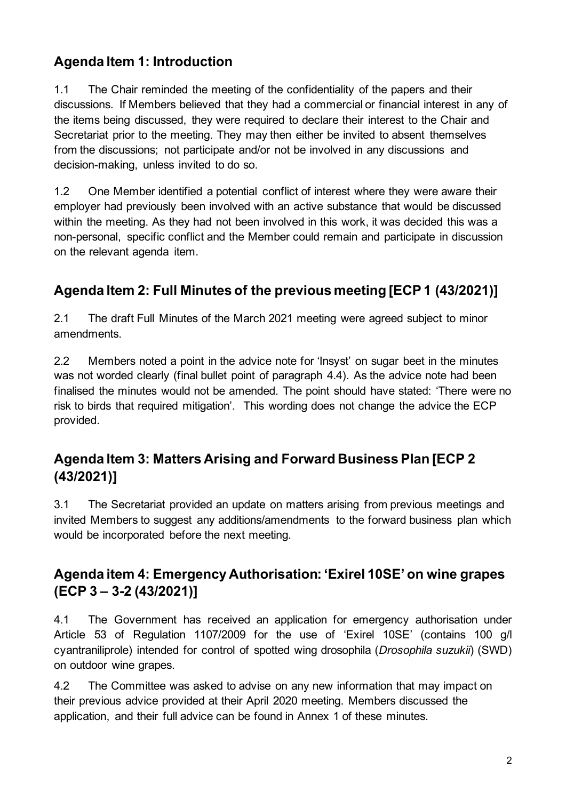# **Agenda Item 1: Introduction**

1.1 The Chair reminded the meeting of the confidentiality of the papers and their discussions. If Members believed that they had a commercial or financial interest in any of the items being discussed, they were required to declare their interest to the Chair and Secretariat prior to the meeting. They may then either be invited to absent themselves from the discussions; not participate and/or not be involved in any discussions and decision-making, unless invited to do so.

1.2 One Member identified a potential conflict of interest where they were aware their employer had previously been involved with an active substance that would be discussed within the meeting. As they had not been involved in this work, it was decided this was a non-personal, specific conflict and the Member could remain and participate in discussion on the relevant agenda item.

# **Agenda Item 2: Full Minutes of the previous meeting [ECP 1 (43/2021)]**

2.1 The draft Full Minutes of the March 2021 meeting were agreed subject to minor amendments.

2.2 Members noted a point in the advice note for 'Insyst' on sugar beet in the minutes was not worded clearly (final bullet point of paragraph 4.4). As the advice note had been finalised the minutes would not be amended. The point should have stated: 'There were no risk to birds that required mitigation'. This wording does not change the advice the ECP provided.

# **Agenda Item 3: Matters Arising and Forward Business Plan [ECP 2 (43/2021)]**

3.1 The Secretariat provided an update on matters arising from previous meetings and invited Members to suggest any additions/amendments to the forward business plan which would be incorporated before the next meeting.

# **Agenda item 4: Emergency Authorisation: 'Exirel 10SE' on wine grapes (ECP 3 – 3-2 (43/2021)]**

4.1 The Government has received an application for emergency authorisation under Article 53 of Regulation 1107/2009 for the use of 'Exirel 10SE' (contains 100 g/l cyantraniliprole) intended for control of spotted wing drosophila (*Drosophila suzukii*) (SWD) on outdoor wine grapes.

4.2 The Committee was asked to advise on any new information that may impact on their previous advice provided at their April 2020 meeting. Members discussed the application, and their full advice can be found in Annex 1 of these minutes.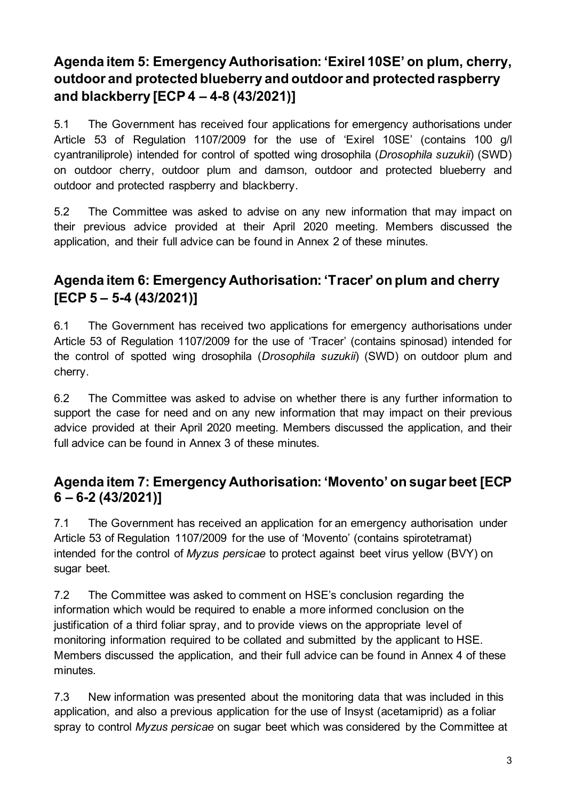# **Agenda item 5: Emergency Authorisation: 'Exirel 10SE' on plum, cherry, outdoor and protected blueberry and outdoor and protected raspberry and blackberry [ECP 4 – 4-8 (43/2021)]**

5.1 The Government has received four applications for emergency authorisations under Article 53 of Regulation 1107/2009 for the use of 'Exirel 10SE' (contains 100 g/l cyantraniliprole) intended for control of spotted wing drosophila (*Drosophila suzukii*) (SWD) on outdoor cherry, outdoor plum and damson, outdoor and protected blueberry and outdoor and protected raspberry and blackberry.

5.2 The Committee was asked to advise on any new information that may impact on their previous advice provided at their April 2020 meeting. Members discussed the application, and their full advice can be found in Annex 2 of these minutes.

# **Agenda item 6: Emergency Authorisation: 'Tracer' on plum and cherry [ECP 5 – 5-4 (43/2021)]**

6.1 The Government has received two applications for emergency authorisations under Article 53 of Regulation 1107/2009 for the use of 'Tracer' (contains spinosad) intended for the control of spotted wing drosophila (*Drosophila suzukii*) (SWD) on outdoor plum and cherry.

6.2 The Committee was asked to advise on whether there is any further information to support the case for need and on any new information that may impact on their previous advice provided at their April 2020 meeting. Members discussed the application, and their full advice can be found in Annex 3 of these minutes.

# **Agenda item 7: Emergency Authorisation: 'Movento' on sugar beet [ECP 6 – 6-2 (43/2021)]**

7.1 The Government has received an application for an emergency authorisation under Article 53 of Regulation 1107/2009 for the use of 'Movento' (contains spirotetramat) intended for the control of *Myzus persicae* to protect against beet virus yellow (BVY) on sugar beet.

7.2 The Committee was asked to comment on HSE's conclusion regarding the information which would be required to enable a more informed conclusion on the justification of a third foliar spray, and to provide views on the appropriate level of monitoring information required to be collated and submitted by the applicant to HSE. Members discussed the application, and their full advice can be found in Annex 4 of these minutes.

7.3 New information was presented about the monitoring data that was included in this application, and also a previous application for the use of Insyst (acetamiprid) as a foliar spray to control *Myzus persicae* on sugar beet which was considered by the Committee at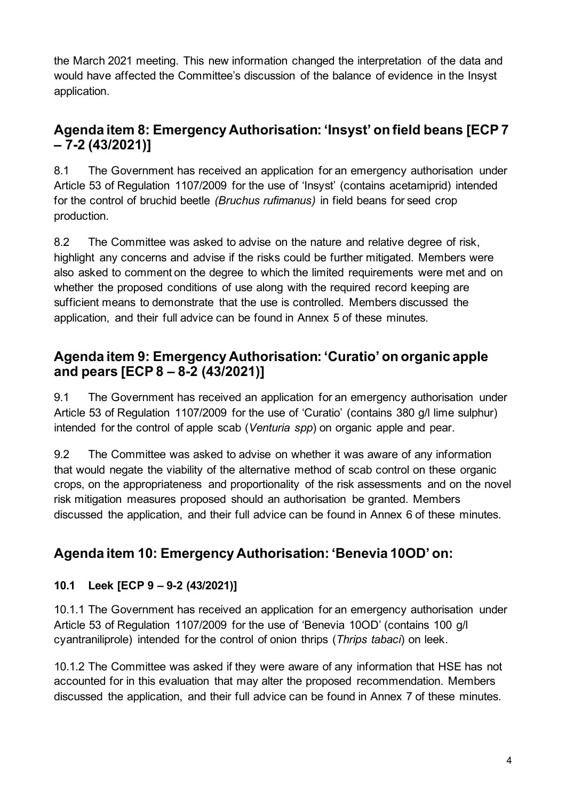the March 2021 meeting. This new information changed the interpretation of the data and would have affected the Committee's discussion of the balance of evidence in the Insyst application.

# **Agenda item 8: Emergency Authorisation: 'Insyst' on field beans [ECP 7 – 7-2 (43/2021)]**

8.1 The Government has received an application for an emergency authorisation under Article 53 of Regulation 1107/2009 for the use of 'Insyst' (contains acetamiprid) intended for the control of bruchid beetle *(Bruchus rufimanus)* in field beans for seed crop production.

8.2 The Committee was asked to advise on the nature and relative degree of risk, highlight any concerns and advise if the risks could be further mitigated. Members were also asked to comment on the degree to which the limited requirements were met and on whether the proposed conditions of use along with the required record keeping are sufficient means to demonstrate that the use is controlled. Members discussed the application, and their full advice can be found in Annex 5 of these minutes.

# **Agenda item 9: Emergency Authorisation: 'Curatio' on organic apple and pears [ECP 8 – 8-2 (43/2021)]**

9.1 The Government has received an application for an emergency authorisation under Article 53 of Regulation 1107/2009 for the use of 'Curatio' (contains 380 g/l lime sulphur) intended for the control of apple scab (*Venturia spp*) on organic apple and pear.

9.2 The Committee was asked to advise on whether it was aware of any information that would negate the viability of the alternative method of scab control on these organic crops, on the appropriateness and proportionality of the risk assessments and on the novel risk mitigation measures proposed should an authorisation be granted. Members discussed the application, and their full advice can be found in Annex 6 of these minutes.

# **Agenda item 10: Emergency Authorisation: 'Benevia 10OD' on:**

# **10.1 Leek [ECP 9 – 9-2 (43/2021)]**

10.1.1 The Government has received an application for an emergency authorisation under Article 53 of Regulation 1107/2009 for the use of 'Benevia 10OD' (contains 100 g/l cyantraniliprole) intended for the control of onion thrips (*Thrips tabaci*) on leek.

10.1.2 The Committee was asked if they were aware of any information that HSE has not accounted for in this evaluation that may alter the proposed recommendation. Members discussed the application, and their full advice can be found in Annex 7 of these minutes.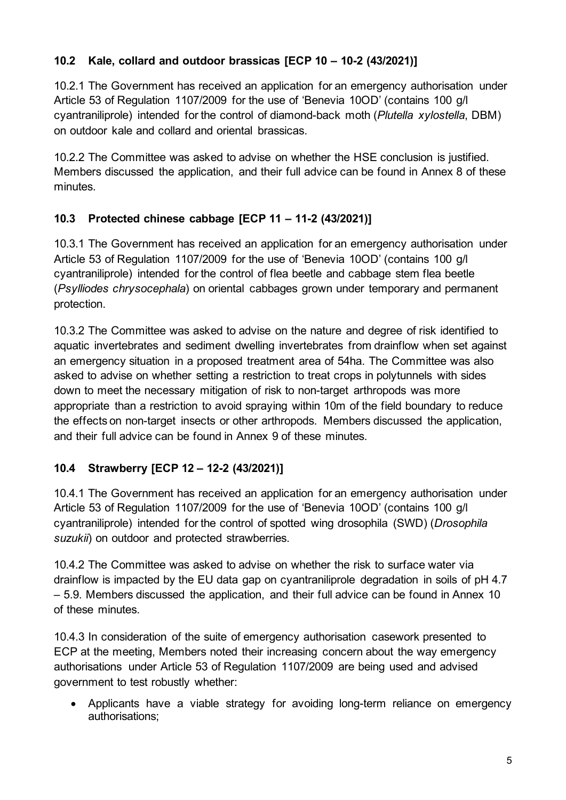# **10.2 Kale, collard and outdoor brassicas [ECP 10 – 10-2 (43/2021)]**

10.2.1 The Government has received an application for an emergency authorisation under Article 53 of Regulation 1107/2009 for the use of 'Benevia 10OD' (contains 100 g/l cyantraniliprole) intended for the control of diamond-back moth (*Plutella xylostella*, DBM) on outdoor kale and collard and oriental brassicas.

10.2.2 The Committee was asked to advise on whether the HSE conclusion is justified. Members discussed the application, and their full advice can be found in Annex 8 of these minutes.

# **10.3 Protected chinese cabbage [ECP 11 – 11-2 (43/2021)]**

10.3.1 The Government has received an application for an emergency authorisation under Article 53 of Regulation 1107/2009 for the use of 'Benevia 10OD' (contains 100 g/l cyantraniliprole) intended for the control of flea beetle and cabbage stem flea beetle (*Psylliodes chrysocephala*) on oriental cabbages grown under temporary and permanent protection.

10.3.2 The Committee was asked to advise on the nature and degree of risk identified to aquatic invertebrates and sediment dwelling invertebrates from drainflow when set against an emergency situation in a proposed treatment area of 54ha. The Committee was also asked to advise on whether setting a restriction to treat crops in polytunnels with sides down to meet the necessary mitigation of risk to non-target arthropods was more appropriate than a restriction to avoid spraying within 10m of the field boundary to reduce the effects on non-target insects or other arthropods. Members discussed the application, and their full advice can be found in Annex 9 of these minutes.

# **10.4 Strawberry [ECP 12 – 12-2 (43/2021)]**

10.4.1 The Government has received an application for an emergency authorisation under Article 53 of Regulation 1107/2009 for the use of 'Benevia 10OD' (contains 100 g/l cyantraniliprole) intended for the control of spotted wing drosophila (SWD) (*Drosophila suzukii*) on outdoor and protected strawberries.

10.4.2 The Committee was asked to advise on whether the risk to surface water via drainflow is impacted by the EU data gap on cyantraniliprole degradation in soils of pH 4.7 – 5.9. Members discussed the application, and their full advice can be found in Annex 10 of these minutes.

10.4.3 In consideration of the suite of emergency authorisation casework presented to ECP at the meeting, Members noted their increasing concern about the way emergency authorisations under Article 53 of Regulation 1107/2009 are being used and advised government to test robustly whether:

• Applicants have a viable strategy for avoiding long-term reliance on emergency authorisations;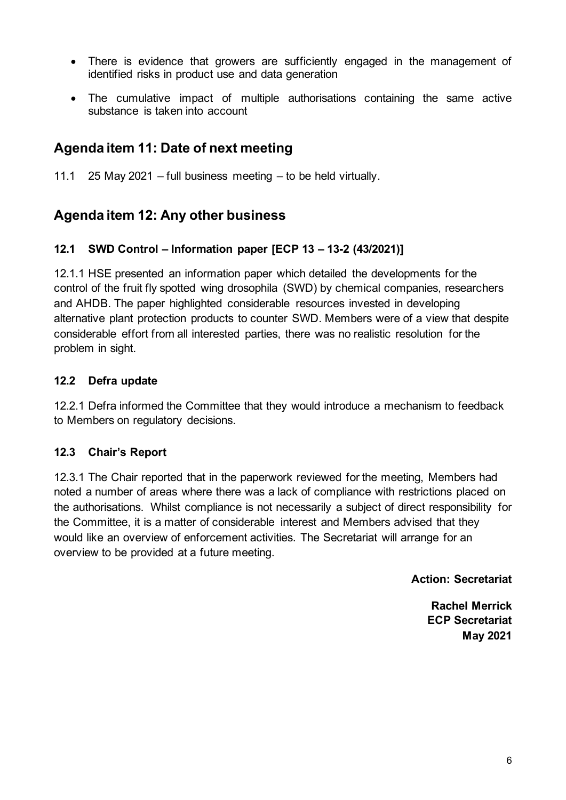- There is evidence that growers are sufficiently engaged in the management of identified risks in product use and data generation
- The cumulative impact of multiple authorisations containing the same active substance is taken into account

# **Agenda item 11: Date of next meeting**

11.1 25 May 2021 – full business meeting – to be held virtually.

# **Agenda item 12: Any other business**

# **12.1 SWD Control – Information paper [ECP 13 – 13-2 (43/2021)]**

12.1.1 HSE presented an information paper which detailed the developments for the control of the fruit fly spotted wing drosophila (SWD) by chemical companies, researchers and AHDB. The paper highlighted considerable resources invested in developing alternative plant protection products to counter SWD. Members were of a view that despite considerable effort from all interested parties, there was no realistic resolution for the problem in sight.

# **12.2 Defra update**

12.2.1 Defra informed the Committee that they would introduce a mechanism to feedback to Members on regulatory decisions.

# **12.3 Chair's Report**

12.3.1 The Chair reported that in the paperwork reviewed for the meeting, Members had noted a number of areas where there was a lack of compliance with restrictions placed on the authorisations. Whilst compliance is not necessarily a subject of direct responsibility for the Committee, it is a matter of considerable interest and Members advised that they would like an overview of enforcement activities. The Secretariat will arrange for an overview to be provided at a future meeting.

**Action: Secretariat**

**Rachel Merrick ECP Secretariat May 2021**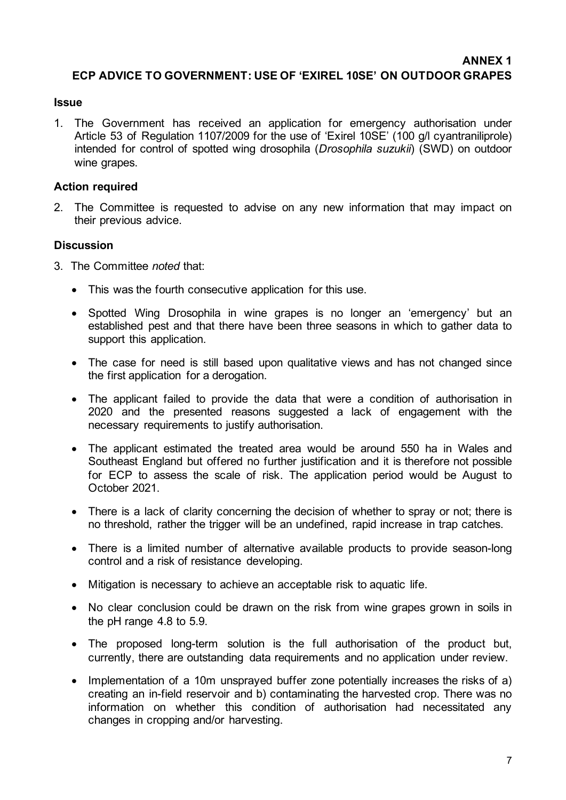**ANNEX 1**

#### **ECP ADVICE TO GOVERNMENT: USE OF 'EXIREL 10SE' ON OUTDOOR GRAPES**

#### **Issue**

1. The Government has received an application for emergency authorisation under Article 53 of Regulation 1107/2009 for the use of 'Exirel 10SE' (100 g/l cyantraniliprole) intended for control of spotted wing drosophila (*Drosophila suzukii*) (SWD) on outdoor wine grapes.

#### **Action required**

2. The Committee is requested to advise on any new information that may impact on their previous advice.

- 3. The Committee *noted* that:
	- This was the fourth consecutive application for this use.
	- Spotted Wing Drosophila in wine grapes is no longer an 'emergency' but an established pest and that there have been three seasons in which to gather data to support this application.
	- The case for need is still based upon qualitative views and has not changed since the first application for a derogation.
	- The applicant failed to provide the data that were a condition of authorisation in 2020 and the presented reasons suggested a lack of engagement with the necessary requirements to justify authorisation.
	- The applicant estimated the treated area would be around 550 ha in Wales and Southeast England but offered no further justification and it is therefore not possible for ECP to assess the scale of risk. The application period would be August to October 2021.
	- There is a lack of clarity concerning the decision of whether to spray or not; there is no threshold, rather the trigger will be an undefined, rapid increase in trap catches.
	- There is a limited number of alternative available products to provide season-long control and a risk of resistance developing.
	- Mitigation is necessary to achieve an acceptable risk to aquatic life.
	- No clear conclusion could be drawn on the risk from wine grapes grown in soils in the pH range 4.8 to 5.9.
	- The proposed long-term solution is the full authorisation of the product but, currently, there are outstanding data requirements and no application under review.
	- Implementation of a 10m unsprayed buffer zone potentially increases the risks of a) creating an in-field reservoir and b) contaminating the harvested crop. There was no information on whether this condition of authorisation had necessitated any changes in cropping and/or harvesting.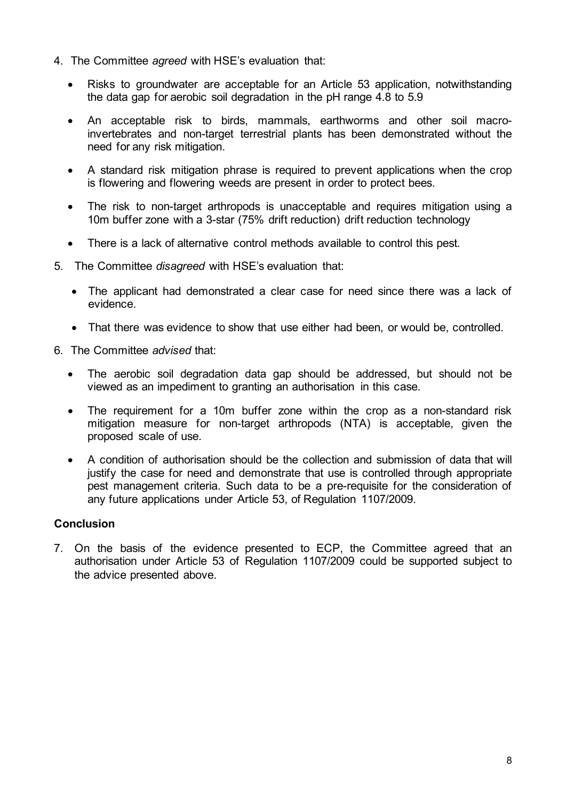- 4. The Committee *agreed* with HSE's evaluation that:
	- Risks to groundwater are acceptable for an Article 53 application, notwithstanding the data gap for aerobic soil degradation in the pH range 4.8 to 5.9
	- An acceptable risk to birds, mammals, earthworms and other soil macroinvertebrates and non-target terrestrial plants has been demonstrated without the need for any risk mitigation.
	- A standard risk mitigation phrase is required to prevent applications when the crop is flowering and flowering weeds are present in order to protect bees.
	- The risk to non-target arthropods is unacceptable and requires mitigation using a 10m buffer zone with a 3-star (75% drift reduction) drift reduction technology
	- There is a lack of alternative control methods available to control this pest.
- 5. The Committee *disagreed* with HSE's evaluation that:
	- The applicant had demonstrated a clear case for need since there was a lack of evidence.
	- That there was evidence to show that use either had been, or would be, controlled.
- 6. The Committee *advised* that:
	- The aerobic soil degradation data gap should be addressed, but should not be viewed as an impediment to granting an authorisation in this case.
	- The requirement for a 10m buffer zone within the crop as a non-standard risk mitigation measure for non-target arthropods (NTA) is acceptable, given the proposed scale of use.
	- A condition of authorisation should be the collection and submission of data that will justify the case for need and demonstrate that use is controlled through appropriate pest management criteria. Such data to be a pre-requisite for the consideration of any future applications under Article 53, of Regulation 1107/2009.

7. On the basis of the evidence presented to ECP, the Committee agreed that an authorisation under Article 53 of Regulation 1107/2009 could be supported subject to the advice presented above.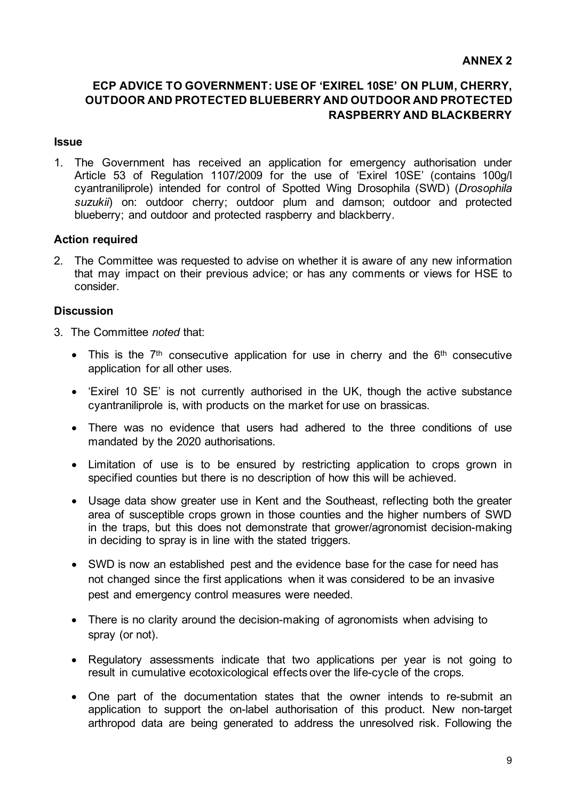#### **ANNEX 2**

# **ECP ADVICE TO GOVERNMENT: USE OF 'EXIREL 10SE' ON PLUM, CHERRY, OUTDOOR AND PROTECTED BLUEBERRY AND OUTDOOR AND PROTECTED RASPBERRY AND BLACKBERRY**

#### **Issue**

1. The Government has received an application for emergency authorisation under Article 53 of Regulation 1107/2009 for the use of 'Exirel 10SE' (contains 100g/l cyantraniliprole) intended for control of Spotted Wing Drosophila (SWD) (*Drosophila suzukii*) on: outdoor cherry; outdoor plum and damson; outdoor and protected blueberry; and outdoor and protected raspberry and blackberry.

#### **Action required**

2. The Committee was requested to advise on whether it is aware of any new information that may impact on their previous advice; or has any comments or views for HSE to consider.

- 3. The Committee *noted* that:
	- This is the  $7<sup>th</sup>$  consecutive application for use in cherry and the  $6<sup>th</sup>$  consecutive application for all other uses.
	- 'Exirel 10 SE' is not currently authorised in the UK, though the active substance cyantraniliprole is, with products on the market for use on brassicas.
	- There was no evidence that users had adhered to the three conditions of use mandated by the 2020 authorisations.
	- Limitation of use is to be ensured by restricting application to crops grown in specified counties but there is no description of how this will be achieved.
	- Usage data show greater use in Kent and the Southeast, reflecting both the greater area of susceptible crops grown in those counties and the higher numbers of SWD in the traps, but this does not demonstrate that grower/agronomist decision-making in deciding to spray is in line with the stated triggers.
	- SWD is now an established pest and the evidence base for the case for need has not changed since the first applications when it was considered to be an invasive pest and emergency control measures were needed.
	- There is no clarity around the decision-making of agronomists when advising to spray (or not).
	- Regulatory assessments indicate that two applications per year is not going to result in cumulative ecotoxicological effects over the life-cycle of the crops.
	- One part of the documentation states that the owner intends to re-submit an application to support the on-label authorisation of this product. New non-target arthropod data are being generated to address the unresolved risk. Following the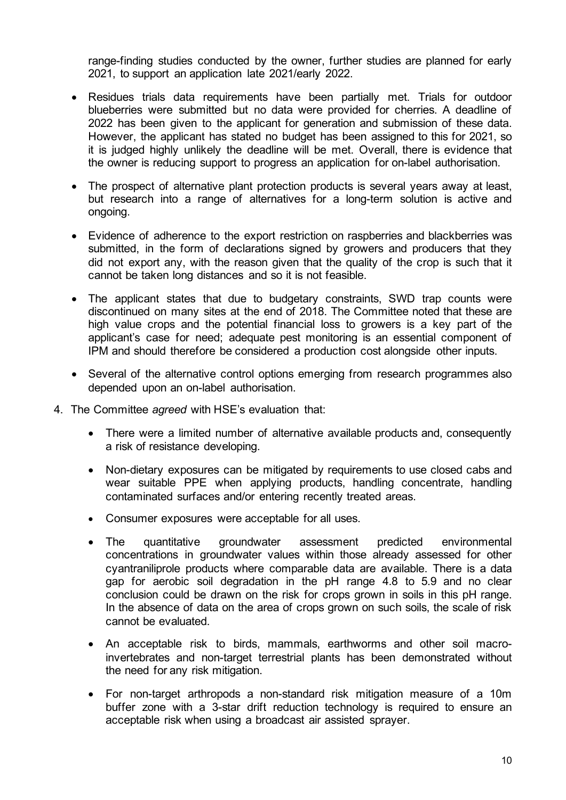range-finding studies conducted by the owner, further studies are planned for early 2021, to support an application late 2021/early 2022.

- Residues trials data requirements have been partially met. Trials for outdoor blueberries were submitted but no data were provided for cherries. A deadline of 2022 has been given to the applicant for generation and submission of these data. However, the applicant has stated no budget has been assigned to this for 2021, so it is judged highly unlikely the deadline will be met. Overall, there is evidence that the owner is reducing support to progress an application for on-label authorisation.
- The prospect of alternative plant protection products is several years away at least, but research into a range of alternatives for a long-term solution is active and ongoing.
- Evidence of adherence to the export restriction on raspberries and blackberries was submitted, in the form of declarations signed by growers and producers that they did not export any, with the reason given that the quality of the crop is such that it cannot be taken long distances and so it is not feasible.
- The applicant states that due to budgetary constraints, SWD trap counts were discontinued on many sites at the end of 2018. The Committee noted that these are high value crops and the potential financial loss to growers is a key part of the applicant's case for need; adequate pest monitoring is an essential component of IPM and should therefore be considered a production cost alongside other inputs.
- Several of the alternative control options emerging from research programmes also depended upon an on-label authorisation.
- 4. The Committee *agreed* with HSE's evaluation that:
	- There were a limited number of alternative available products and, consequently a risk of resistance developing.
	- Non-dietary exposures can be mitigated by requirements to use closed cabs and wear suitable PPE when applying products, handling concentrate, handling contaminated surfaces and/or entering recently treated areas.
	- Consumer exposures were acceptable for all uses.
	- The quantitative groundwater assessment predicted environmental concentrations in groundwater values within those already assessed for other cyantraniliprole products where comparable data are available. There is a data gap for aerobic soil degradation in the pH range 4.8 to 5.9 and no clear conclusion could be drawn on the risk for crops grown in soils in this pH range. In the absence of data on the area of crops grown on such soils, the scale of risk cannot be evaluated.
	- An acceptable risk to birds, mammals, earthworms and other soil macroinvertebrates and non-target terrestrial plants has been demonstrated without the need for any risk mitigation.
	- For non-target arthropods a non-standard risk mitigation measure of a 10m buffer zone with a 3-star drift reduction technology is required to ensure an acceptable risk when using a broadcast air assisted sprayer.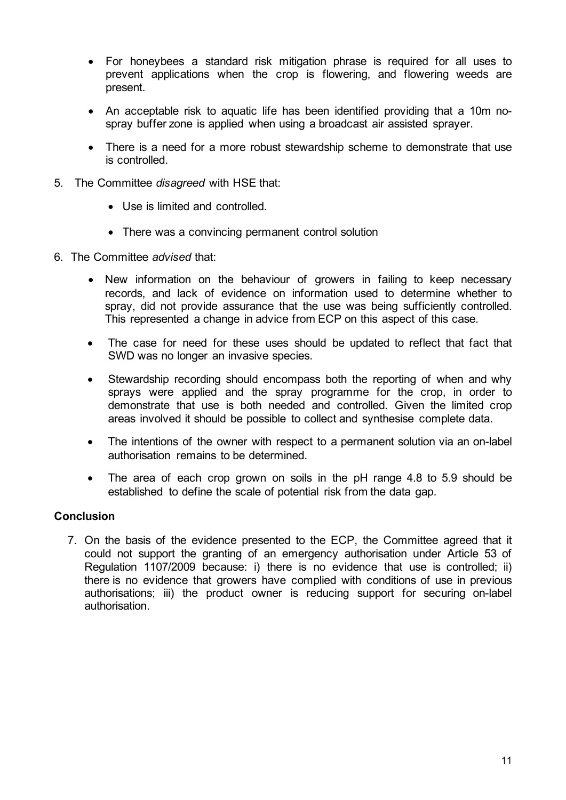- For honeybees a standard risk mitigation phrase is required for all uses to prevent applications when the crop is flowering, and flowering weeds are present.
- An acceptable risk to aquatic life has been identified providing that a 10m nospray buffer zone is applied when using a broadcast air assisted sprayer.
- There is a need for a more robust stewardship scheme to demonstrate that use is controlled.
- 5. The Committee *disagreed* with HSE that:
	- Use is limited and controlled.
	- There was a convincing permanent control solution
- 6. The Committee *advised* that:
	- New information on the behaviour of growers in failing to keep necessary records, and lack of evidence on information used to determine whether to spray, did not provide assurance that the use was being sufficiently controlled. This represented a change in advice from ECP on this aspect of this case.
	- The case for need for these uses should be updated to reflect that fact that SWD was no longer an invasive species.
	- Stewardship recording should encompass both the reporting of when and why sprays were applied and the spray programme for the crop, in order to demonstrate that use is both needed and controlled. Given the limited crop areas involved it should be possible to collect and synthesise complete data.
	- The intentions of the owner with respect to a permanent solution via an on-label authorisation remains to be determined.
	- The area of each crop grown on soils in the pH range 4.8 to 5.9 should be established to define the scale of potential risk from the data gap.

7. On the basis of the evidence presented to the ECP, the Committee agreed that it could not support the granting of an emergency authorisation under Article 53 of Regulation 1107/2009 because: i) there is no evidence that use is controlled; ii) there is no evidence that growers have complied with conditions of use in previous authorisations; iii) the product owner is reducing support for securing on-label authorisation.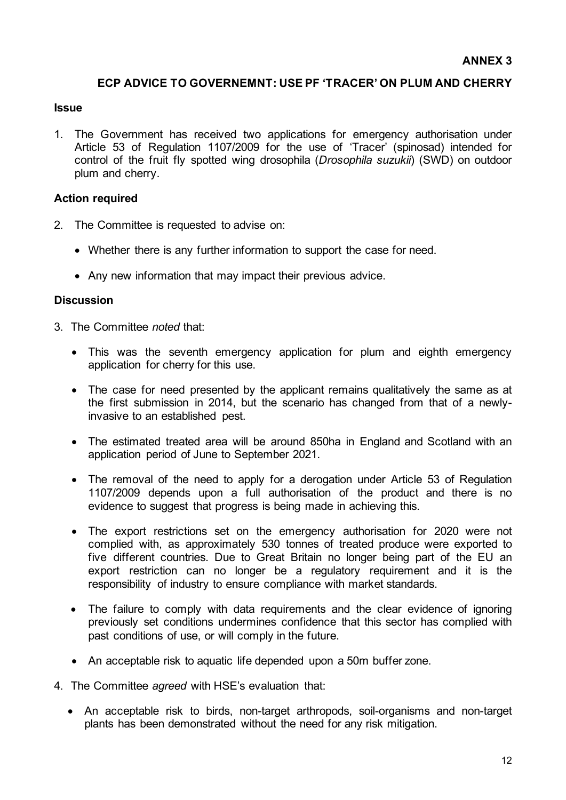#### **ECP ADVICE TO GOVERNEMNT: USE PF 'TRACER' ON PLUM AND CHERRY**

#### **Issue**

1. The Government has received two applications for emergency authorisation under Article 53 of Regulation 1107/2009 for the use of 'Tracer' (spinosad) intended for control of the fruit fly spotted wing drosophila (*Drosophila suzukii*) (SWD) on outdoor plum and cherry.

#### **Action required**

- 2. The Committee is requested to advise on:
	- Whether there is any further information to support the case for need.
	- Any new information that may impact their previous advice.

- 3. The Committee *noted* that:
	- This was the seventh emergency application for plum and eighth emergency application for cherry for this use.
	- The case for need presented by the applicant remains qualitatively the same as at the first submission in 2014, but the scenario has changed from that of a newlyinvasive to an established pest.
	- The estimated treated area will be around 850ha in England and Scotland with an application period of June to September 2021.
	- The removal of the need to apply for a derogation under Article 53 of Regulation 1107/2009 depends upon a full authorisation of the product and there is no evidence to suggest that progress is being made in achieving this.
	- The export restrictions set on the emergency authorisation for 2020 were not complied with, as approximately 530 tonnes of treated produce were exported to five different countries. Due to Great Britain no longer being part of the EU an export restriction can no longer be a regulatory requirement and it is the responsibility of industry to ensure compliance with market standards.
	- The failure to comply with data requirements and the clear evidence of ignoring previously set conditions undermines confidence that this sector has complied with past conditions of use, or will comply in the future.
	- An acceptable risk to aquatic life depended upon a 50m buffer zone.
- 4. The Committee *agreed* with HSE's evaluation that:
	- An acceptable risk to birds, non-target arthropods, soil-organisms and non-target plants has been demonstrated without the need for any risk mitigation.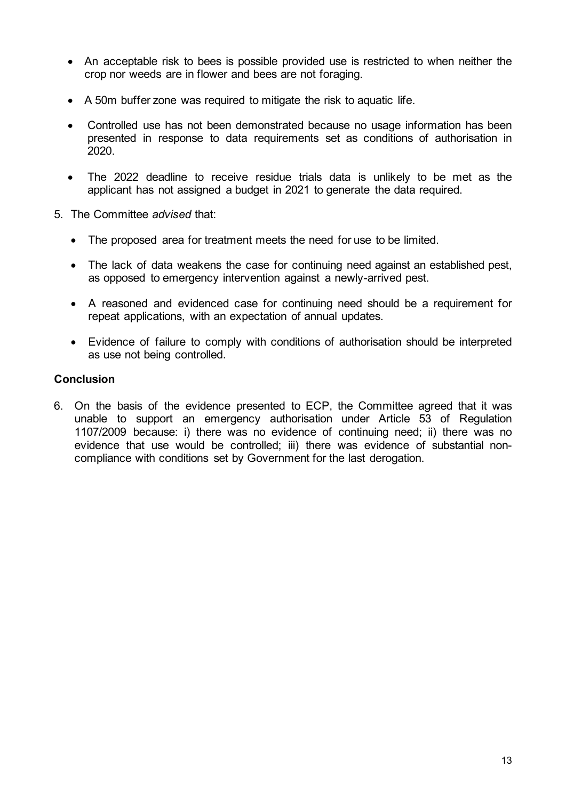- An acceptable risk to bees is possible provided use is restricted to when neither the crop nor weeds are in flower and bees are not foraging.
- A 50m buffer zone was required to mitigate the risk to aquatic life.
- Controlled use has not been demonstrated because no usage information has been presented in response to data requirements set as conditions of authorisation in 2020.
- The 2022 deadline to receive residue trials data is unlikely to be met as the applicant has not assigned a budget in 2021 to generate the data required.
- 5. The Committee *advised* that:
	- The proposed area for treatment meets the need for use to be limited.
	- The lack of data weakens the case for continuing need against an established pest, as opposed to emergency intervention against a newly-arrived pest.
	- A reasoned and evidenced case for continuing need should be a requirement for repeat applications, with an expectation of annual updates.
	- Evidence of failure to comply with conditions of authorisation should be interpreted as use not being controlled.

6. On the basis of the evidence presented to ECP, the Committee agreed that it was unable to support an emergency authorisation under Article 53 of Regulation 1107/2009 because: i) there was no evidence of continuing need; ii) there was no evidence that use would be controlled; iii) there was evidence of substantial noncompliance with conditions set by Government for the last derogation.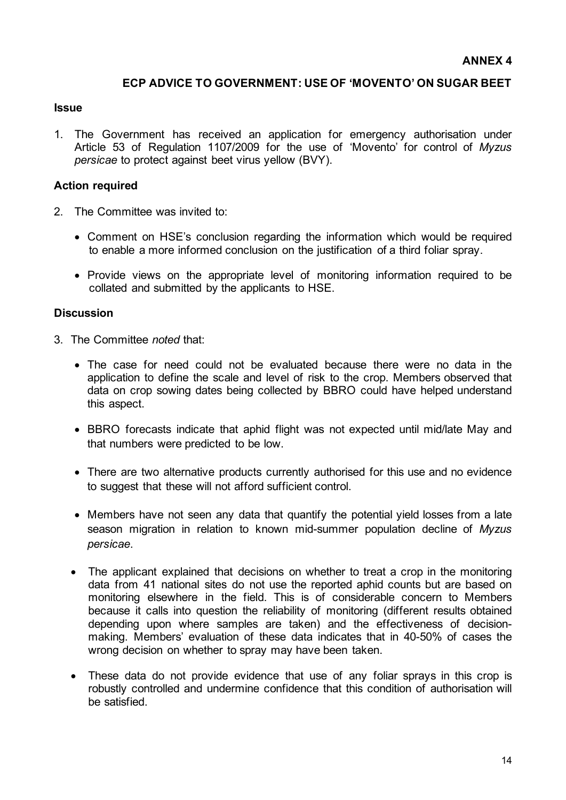#### **ECP ADVICE TO GOVERNMENT: USE OF 'MOVENTO' ON SUGAR BEET**

#### **Issue**

1. The Government has received an application for emergency authorisation under Article 53 of Regulation 1107/2009 for the use of 'Movento' for control of *Myzus persicae* to protect against beet virus yellow (BVY).

#### **Action required**

- 2. The Committee was invited to:
	- Comment on HSE's conclusion regarding the information which would be required to enable a more informed conclusion on the justification of a third foliar spray.
	- Provide views on the appropriate level of monitoring information required to be collated and submitted by the applicants to HSE.

- 3. The Committee *noted* that:
	- The case for need could not be evaluated because there were no data in the application to define the scale and level of risk to the crop. Members observed that data on crop sowing dates being collected by BBRO could have helped understand this aspect.
	- BBRO forecasts indicate that aphid flight was not expected until mid/late May and that numbers were predicted to be low.
	- There are two alternative products currently authorised for this use and no evidence to suggest that these will not afford sufficient control.
	- Members have not seen any data that quantify the potential yield losses from a late season migration in relation to known mid-summer population decline of *Myzus persicae*.
	- The applicant explained that decisions on whether to treat a crop in the monitoring data from 41 national sites do not use the reported aphid counts but are based on monitoring elsewhere in the field. This is of considerable concern to Members because it calls into question the reliability of monitoring (different results obtained depending upon where samples are taken) and the effectiveness of decisionmaking. Members' evaluation of these data indicates that in 40-50% of cases the wrong decision on whether to spray may have been taken.
	- These data do not provide evidence that use of any foliar sprays in this crop is robustly controlled and undermine confidence that this condition of authorisation will be satisfied.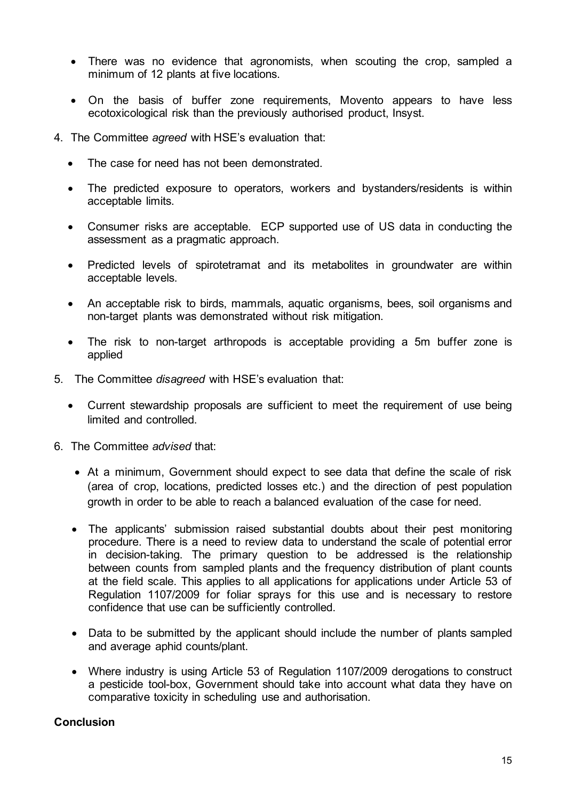- There was no evidence that agronomists, when scouting the crop, sampled a minimum of 12 plants at five locations.
- On the basis of buffer zone requirements, Movento appears to have less ecotoxicological risk than the previously authorised product, Insyst.
- 4. The Committee *agreed* with HSE's evaluation that:
	- The case for need has not been demonstrated.
	- The predicted exposure to operators, workers and bystanders/residents is within acceptable limits.
	- Consumer risks are acceptable. ECP supported use of US data in conducting the assessment as a pragmatic approach.
	- Predicted levels of spirotetramat and its metabolites in groundwater are within acceptable levels.
	- An acceptable risk to birds, mammals, aquatic organisms, bees, soil organisms and non-target plants was demonstrated without risk mitigation.
	- The risk to non-target arthropods is acceptable providing a 5m buffer zone is applied
- 5. The Committee *disagreed* with HSE's evaluation that:
	- Current stewardship proposals are sufficient to meet the requirement of use being limited and controlled.
- 6. The Committee *advised* that:
	- At a minimum, Government should expect to see data that define the scale of risk (area of crop, locations, predicted losses etc.) and the direction of pest population growth in order to be able to reach a balanced evaluation of the case for need.
	- The applicants' submission raised substantial doubts about their pest monitoring procedure. There is a need to review data to understand the scale of potential error in decision-taking. The primary question to be addressed is the relationship between counts from sampled plants and the frequency distribution of plant counts at the field scale. This applies to all applications for applications under Article 53 of Regulation 1107/2009 for foliar sprays for this use and is necessary to restore confidence that use can be sufficiently controlled.
	- Data to be submitted by the applicant should include the number of plants sampled and average aphid counts/plant.
	- Where industry is using Article 53 of Regulation 1107/2009 derogations to construct a pesticide tool-box, Government should take into account what data they have on comparative toxicity in scheduling use and authorisation.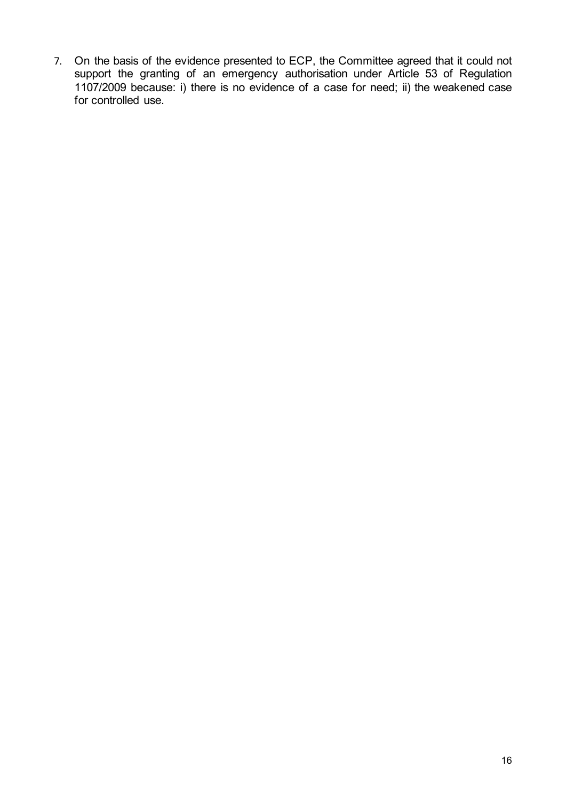7. On the basis of the evidence presented to ECP, the Committee agreed that it could not support the granting of an emergency authorisation under Article 53 of Regulation 1107/2009 because: i) there is no evidence of a case for need; ii) the weakened case for controlled use.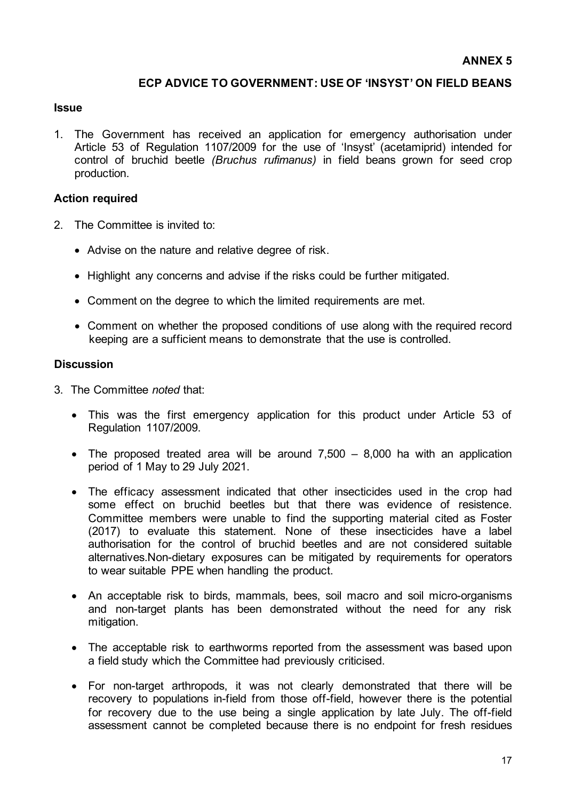#### **ECP ADVICE TO GOVERNMENT: USE OF 'INSYST' ON FIELD BEANS**

#### **Issue**

1. The Government has received an application for emergency authorisation under Article 53 of Regulation 1107/2009 for the use of 'Insyst' (acetamiprid) intended for control of bruchid beetle *(Bruchus rufimanus)* in field beans grown for seed crop production.

#### **Action required**

- 2. The Committee is invited to:
	- Advise on the nature and relative degree of risk.
	- Highlight any concerns and advise if the risks could be further mitigated.
	- Comment on the degree to which the limited requirements are met.
	- Comment on whether the proposed conditions of use along with the required record keeping are a sufficient means to demonstrate that the use is controlled.

- 3. The Committee *noted* that:
	- This was the first emergency application for this product under Article 53 of Regulation 1107/2009.
	- The proposed treated area will be around  $7,500 8,000$  ha with an application period of 1 May to 29 July 2021.
	- The efficacy assessment indicated that other insecticides used in the crop had some effect on bruchid beetles but that there was evidence of resistence. Committee members were unable to find the supporting material cited as Foster (2017) to evaluate this statement. None of these insecticides have a label authorisation for the control of bruchid beetles and are not considered suitable alternatives.Non-dietary exposures can be mitigated by requirements for operators to wear suitable PPE when handling the product.
	- An acceptable risk to birds, mammals, bees, soil macro and soil micro-organisms and non-target plants has been demonstrated without the need for any risk mitigation.
	- The acceptable risk to earthworms reported from the assessment was based upon a field study which the Committee had previously criticised.
	- For non-target arthropods, it was not clearly demonstrated that there will be recovery to populations in-field from those off-field, however there is the potential for recovery due to the use being a single application by late July. The off-field assessment cannot be completed because there is no endpoint for fresh residues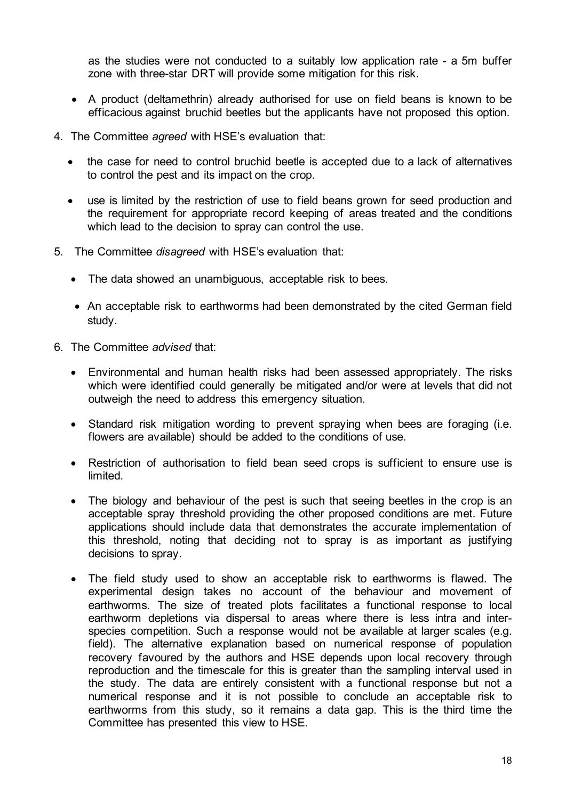as the studies were not conducted to a suitably low application rate - a 5m buffer zone with three-star DRT will provide some mitigation for this risk.

- A product (deltamethrin) already authorised for use on field beans is known to be efficacious against bruchid beetles but the applicants have not proposed this option.
- 4. The Committee *agreed* with HSE's evaluation that:
	- the case for need to control bruchid beetle is accepted due to a lack of alternatives to control the pest and its impact on the crop.
	- use is limited by the restriction of use to field beans grown for seed production and the requirement for appropriate record keeping of areas treated and the conditions which lead to the decision to spray can control the use.
- 5. The Committee *disagreed* with HSE's evaluation that:
	- The data showed an unambiguous, acceptable risk to bees.
	- An acceptable risk to earthworms had been demonstrated by the cited German field study.
- 6. The Committee *advised* that:
	- Environmental and human health risks had been assessed appropriately. The risks which were identified could generally be mitigated and/or were at levels that did not outweigh the need to address this emergency situation.
	- Standard risk mitigation wording to prevent spraying when bees are foraging (i.e. flowers are available) should be added to the conditions of use.
	- Restriction of authorisation to field bean seed crops is sufficient to ensure use is limited.
	- The biology and behaviour of the pest is such that seeing beetles in the crop is an acceptable spray threshold providing the other proposed conditions are met. Future applications should include data that demonstrates the accurate implementation of this threshold, noting that deciding not to spray is as important as justifying decisions to spray.
	- The field study used to show an acceptable risk to earthworms is flawed. The experimental design takes no account of the behaviour and movement of earthworms. The size of treated plots facilitates a functional response to local earthworm depletions via dispersal to areas where there is less intra and interspecies competition. Such a response would not be available at larger scales (e.g. field). The alternative explanation based on numerical response of population recovery favoured by the authors and HSE depends upon local recovery through reproduction and the timescale for this is greater than the sampling interval used in the study. The data are entirely consistent with a functional response but not a numerical response and it is not possible to conclude an acceptable risk to earthworms from this study, so it remains a data gap. This is the third time the Committee has presented this view to HSE.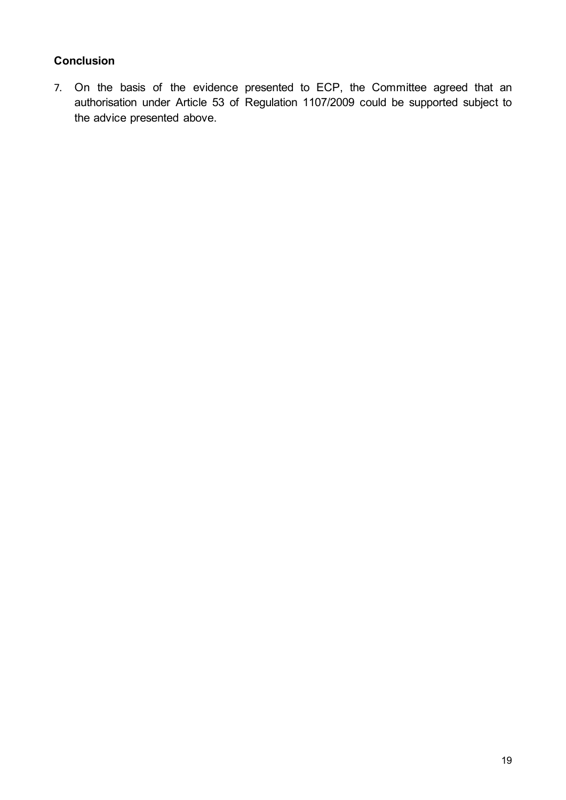7. On the basis of the evidence presented to ECP, the Committee agreed that an authorisation under Article 53 of Regulation 1107/2009 could be supported subject to the advice presented above.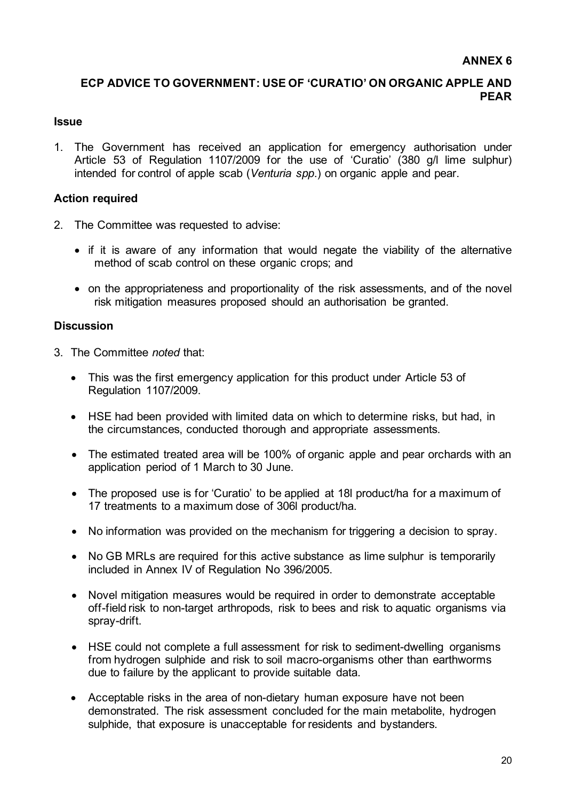### **ECP ADVICE TO GOVERNMENT: USE OF 'CURATIO' ON ORGANIC APPLE AND PEAR**

#### **Issue**

1. The Government has received an application for emergency authorisation under Article 53 of Regulation 1107/2009 for the use of 'Curatio' (380 g/l lime sulphur) intended for control of apple scab (*Venturia spp*.) on organic apple and pear.

### **Action required**

- 2. The Committee was requested to advise:
	- if it is aware of any information that would negate the viability of the alternative method of scab control on these organic crops; and
	- on the appropriateness and proportionality of the risk assessments, and of the novel risk mitigation measures proposed should an authorisation be granted.

- 3. The Committee *noted* that:
	- This was the first emergency application for this product under Article 53 of Regulation 1107/2009.
	- HSE had been provided with limited data on which to determine risks, but had, in the circumstances, conducted thorough and appropriate assessments.
	- The estimated treated area will be 100% of organic apple and pear orchards with an application period of 1 March to 30 June.
	- The proposed use is for 'Curatio' to be applied at 18l product/ha for a maximum of 17 treatments to a maximum dose of 306l product/ha.
	- No information was provided on the mechanism for triggering a decision to spray.
	- No GB MRLs are required for this active substance as lime sulphur is temporarily included in Annex IV of Regulation No 396/2005.
	- Novel mitigation measures would be required in order to demonstrate acceptable off-field risk to non-target arthropods, risk to bees and risk to aquatic organisms via spray-drift.
	- HSE could not complete a full assessment for risk to sediment-dwelling organisms from hydrogen sulphide and risk to soil macro-organisms other than earthworms due to failure by the applicant to provide suitable data.
	- Acceptable risks in the area of non-dietary human exposure have not been demonstrated. The risk assessment concluded for the main metabolite, hydrogen sulphide, that exposure is unacceptable for residents and bystanders.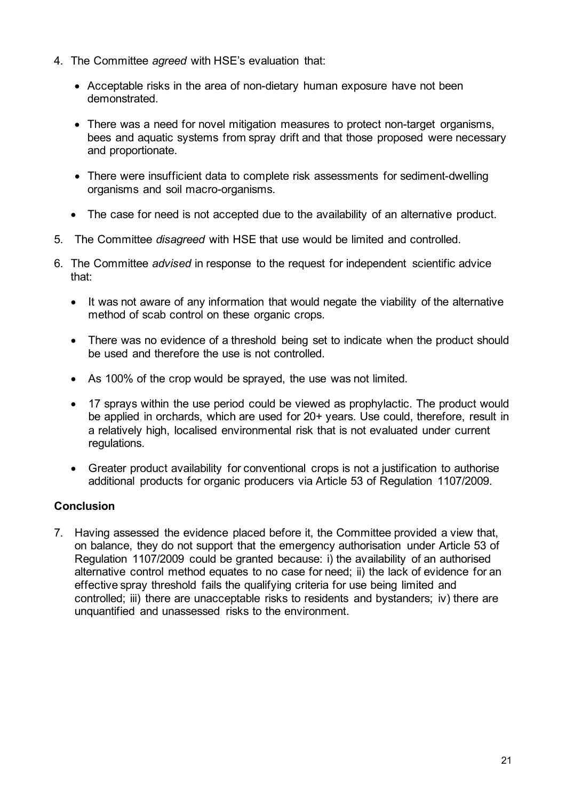- 4. The Committee *agreed* with HSE's evaluation that:
	- Acceptable risks in the area of non-dietary human exposure have not been demonstrated.
	- There was a need for novel mitigation measures to protect non-target organisms, bees and aquatic systems from spray drift and that those proposed were necessary and proportionate.
	- There were insufficient data to complete risk assessments for sediment-dwelling organisms and soil macro-organisms.
	- The case for need is not accepted due to the availability of an alternative product.
- 5. The Committee *disagreed* with HSE that use would be limited and controlled.
- 6. The Committee *advised* in response to the request for independent scientific advice that:
	- It was not aware of any information that would negate the viability of the alternative method of scab control on these organic crops.
	- There was no evidence of a threshold being set to indicate when the product should be used and therefore the use is not controlled.
	- As 100% of the crop would be sprayed, the use was not limited.
	- 17 sprays within the use period could be viewed as prophylactic. The product would be applied in orchards, which are used for 20+ years. Use could, therefore, result in a relatively high, localised environmental risk that is not evaluated under current regulations.
	- Greater product availability for conventional crops is not a justification to authorise additional products for organic producers via Article 53 of Regulation 1107/2009.

7. Having assessed the evidence placed before it, the Committee provided a view that, on balance, they do not support that the emergency authorisation under Article 53 of Regulation 1107/2009 could be granted because: i) the availability of an authorised alternative control method equates to no case for need; ii) the lack of evidence for an effective spray threshold fails the qualifying criteria for use being limited and controlled; iii) there are unacceptable risks to residents and bystanders; iv) there are unquantified and unassessed risks to the environment.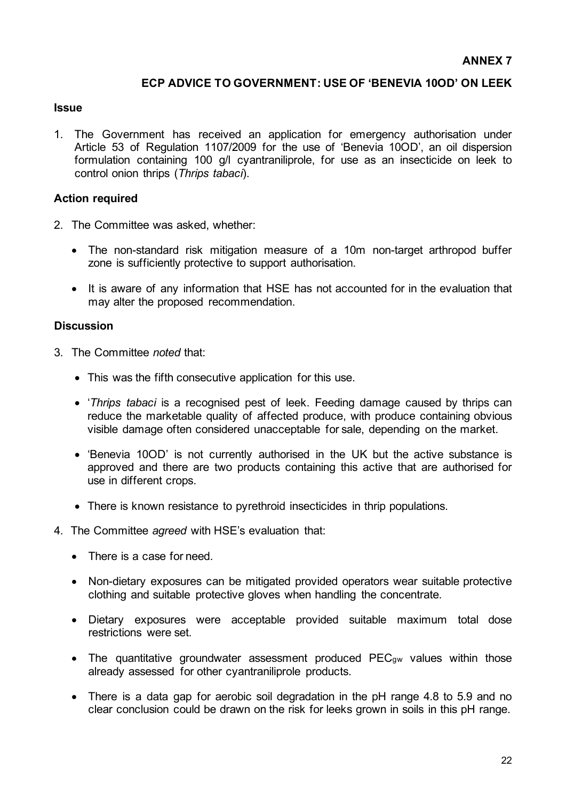#### **ECP ADVICE TO GOVERNMENT: USE OF 'BENEVIA 10OD' ON LEEK**

#### **Issue**

1. The Government has received an application for emergency authorisation under Article 53 of Regulation 1107/2009 for the use of 'Benevia 10OD', an oil dispersion formulation containing 100 g/l cyantraniliprole, for use as an insecticide on leek to control onion thrips (*Thrips tabaci*).

#### **Action required**

- 2. The Committee was asked, whether:
	- The non-standard risk mitigation measure of a 10m non-target arthropod buffer zone is sufficiently protective to support authorisation.
	- It is aware of any information that HSE has not accounted for in the evaluation that may alter the proposed recommendation.

- 3. The Committee *noted* that:
	- This was the fifth consecutive application for this use.
	- '*Thrips tabaci* is a recognised pest of leek. Feeding damage caused by thrips can reduce the marketable quality of affected produce, with produce containing obvious visible damage often considered unacceptable for sale, depending on the market.
	- 'Benevia 10OD' is not currently authorised in the UK but the active substance is approved and there are two products containing this active that are authorised for use in different crops.
	- There is known resistance to pyrethroid insecticides in thrip populations.
- 4. The Committee *agreed* with HSE's evaluation that:
	- There is a case for need.
	- Non-dietary exposures can be mitigated provided operators wear suitable protective clothing and suitable protective gloves when handling the concentrate.
	- Dietary exposures were acceptable provided suitable maximum total dose restrictions were set.
	- The quantitative groundwater assessment produced PEC<sub>gw</sub> values within those already assessed for other cyantraniliprole products.
	- There is a data gap for aerobic soil degradation in the pH range 4.8 to 5.9 and no clear conclusion could be drawn on the risk for leeks grown in soils in this pH range.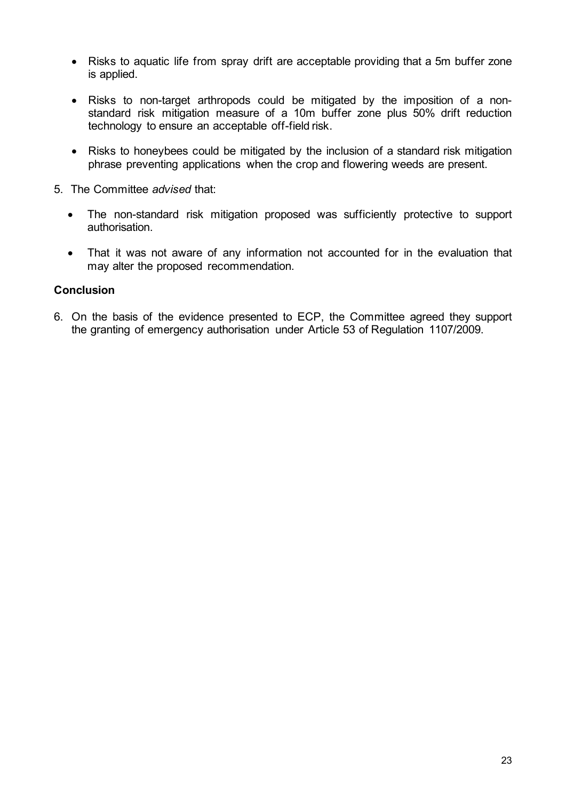- Risks to aquatic life from spray drift are acceptable providing that a 5m buffer zone is applied.
- Risks to non-target arthropods could be mitigated by the imposition of a nonstandard risk mitigation measure of a 10m buffer zone plus 50% drift reduction technology to ensure an acceptable off-field risk.
- Risks to honeybees could be mitigated by the inclusion of a standard risk mitigation phrase preventing applications when the crop and flowering weeds are present.
- 5. The Committee *advised* that:
	- The non-standard risk mitigation proposed was sufficiently protective to support authorisation.
	- That it was not aware of any information not accounted for in the evaluation that may alter the proposed recommendation.

6. On the basis of the evidence presented to ECP, the Committee agreed they support the granting of emergency authorisation under Article 53 of Regulation 1107/2009.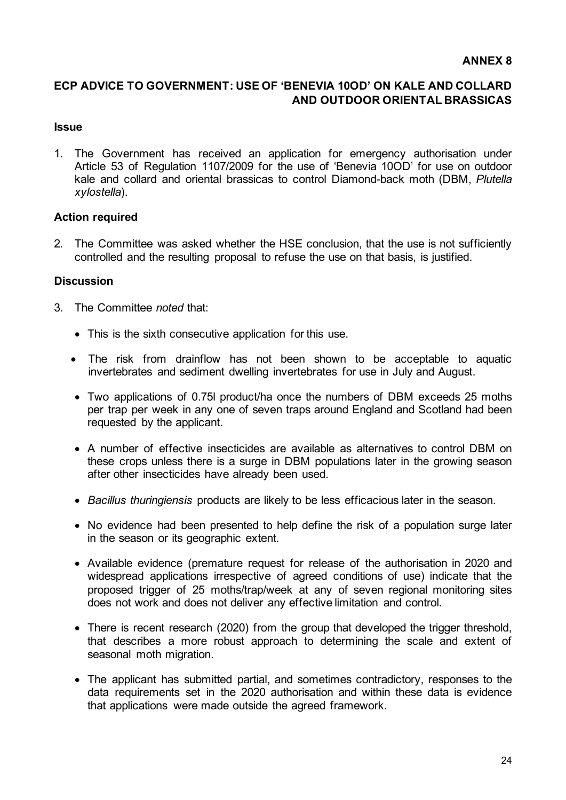#### **ANNEX 8**

### **ECP ADVICE TO GOVERNMENT: USE OF 'BENEVIA 10OD' ON KALE AND COLLARD AND OUTDOOR ORIENTAL BRASSICAS**

#### **Issue**

1. The Government has received an application for emergency authorisation under Article 53 of Regulation 1107/2009 for the use of 'Benevia 10OD' for use on outdoor kale and collard and oriental brassicas to control Diamond-back moth (DBM, *Plutella xylostella*).

#### **Action required**

2. The Committee was asked whether the HSE conclusion, that the use is not sufficiently controlled and the resulting proposal to refuse the use on that basis, is justified.

- 3. The Committee *noted* that:
	- This is the sixth consecutive application for this use.
	- The risk from drainflow has not been shown to be acceptable to aquatic invertebrates and sediment dwelling invertebrates for use in July and August.
	- Two applications of 0.75l product/ha once the numbers of DBM exceeds 25 moths per trap per week in any one of seven traps around England and Scotland had been requested by the applicant.
	- A number of effective insecticides are available as alternatives to control DBM on these crops unless there is a surge in DBM populations later in the growing season after other insecticides have already been used.
	- *Bacillus thuringiensis* products are likely to be less efficacious later in the season.
	- No evidence had been presented to help define the risk of a population surge later in the season or its geographic extent.
	- Available evidence (premature request for release of the authorisation in 2020 and widespread applications irrespective of agreed conditions of use) indicate that the proposed trigger of 25 moths/trap/week at any of seven regional monitoring sites does not work and does not deliver any effective limitation and control.
	- There is recent research (2020) from the group that developed the trigger threshold, that describes a more robust approach to determining the scale and extent of seasonal moth migration.
	- The applicant has submitted partial, and sometimes contradictory, responses to the data requirements set in the 2020 authorisation and within these data is evidence that applications were made outside the agreed framework.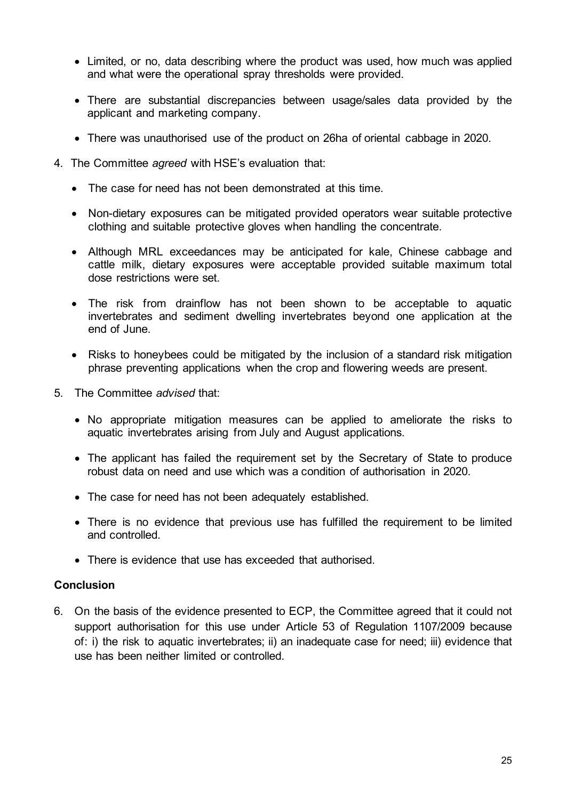- Limited, or no, data describing where the product was used, how much was applied and what were the operational spray thresholds were provided.
- There are substantial discrepancies between usage/sales data provided by the applicant and marketing company.
- There was unauthorised use of the product on 26ha of oriental cabbage in 2020.
- 4. The Committee *agreed* with HSE's evaluation that:
	- The case for need has not been demonstrated at this time.
	- Non-dietary exposures can be mitigated provided operators wear suitable protective clothing and suitable protective gloves when handling the concentrate.
	- Although MRL exceedances may be anticipated for kale, Chinese cabbage and cattle milk, dietary exposures were acceptable provided suitable maximum total dose restrictions were set.
	- The risk from drainflow has not been shown to be acceptable to aquatic invertebrates and sediment dwelling invertebrates beyond one application at the end of June.
	- Risks to honeybees could be mitigated by the inclusion of a standard risk mitigation phrase preventing applications when the crop and flowering weeds are present.
- 5. The Committee *advised* that:
	- No appropriate mitigation measures can be applied to ameliorate the risks to aquatic invertebrates arising from July and August applications.
	- The applicant has failed the requirement set by the Secretary of State to produce robust data on need and use which was a condition of authorisation in 2020.
	- The case for need has not been adequately established.
	- There is no evidence that previous use has fulfilled the requirement to be limited and controlled.
	- There is evidence that use has exceeded that authorised.

6. On the basis of the evidence presented to ECP, the Committee agreed that it could not support authorisation for this use under Article 53 of Regulation 1107/2009 because of: i) the risk to aquatic invertebrates; ii) an inadequate case for need; iii) evidence that use has been neither limited or controlled.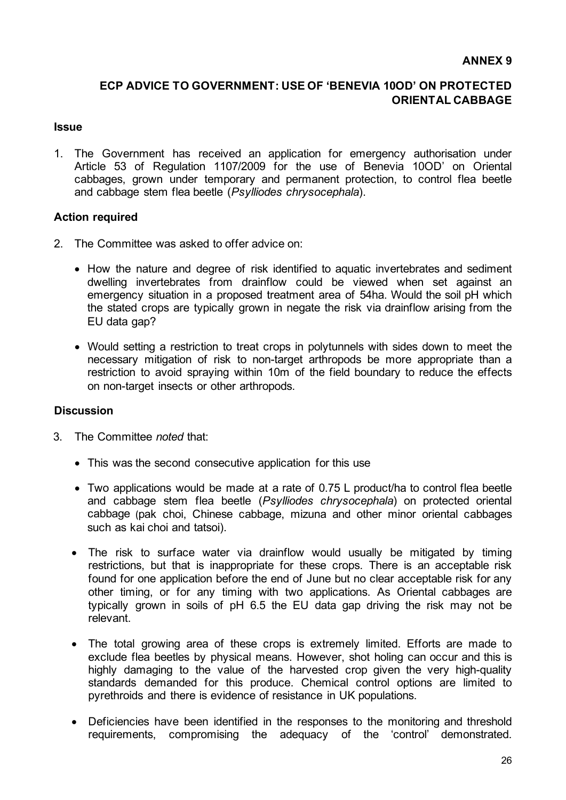#### **ANNEX 9**

### **ECP ADVICE TO GOVERNMENT: USE OF 'BENEVIA 10OD' ON PROTECTED ORIENTAL CABBAGE**

#### **Issue**

1. The Government has received an application for emergency authorisation under Article 53 of Regulation 1107/2009 for the use of Benevia 10OD' on Oriental cabbages, grown under temporary and permanent protection, to control flea beetle and cabbage stem flea beetle (*Psylliodes chrysocephala*).

#### **Action required**

- 2. The Committee was asked to offer advice on:
	- How the nature and degree of risk identified to aquatic invertebrates and sediment dwelling invertebrates from drainflow could be viewed when set against an emergency situation in a proposed treatment area of 54ha. Would the soil pH which the stated crops are typically grown in negate the risk via drainflow arising from the EU data gap?
	- Would setting a restriction to treat crops in polytunnels with sides down to meet the necessary mitigation of risk to non-target arthropods be more appropriate than a restriction to avoid spraying within 10m of the field boundary to reduce the effects on non-target insects or other arthropods.

- 3. The Committee *noted* that:
	- This was the second consecutive application for this use
	- Two applications would be made at a rate of 0.75 L product/ha to control flea beetle and cabbage stem flea beetle (*Psylliodes chrysocephala*) on protected oriental cabbage (pak choi, Chinese cabbage, mizuna and other minor oriental cabbages such as kai choi and tatsoi).
	- The risk to surface water via drainflow would usually be mitigated by timing restrictions, but that is inappropriate for these crops. There is an acceptable risk found for one application before the end of June but no clear acceptable risk for any other timing, or for any timing with two applications. As Oriental cabbages are typically grown in soils of pH 6.5 the EU data gap driving the risk may not be relevant.
	- The total growing area of these crops is extremely limited. Efforts are made to exclude flea beetles by physical means. However, shot holing can occur and this is highly damaging to the value of the harvested crop given the very high-quality standards demanded for this produce. Chemical control options are limited to pyrethroids and there is evidence of resistance in UK populations.
	- Deficiencies have been identified in the responses to the monitoring and threshold requirements, compromising the adequacy of the 'control' demonstrated.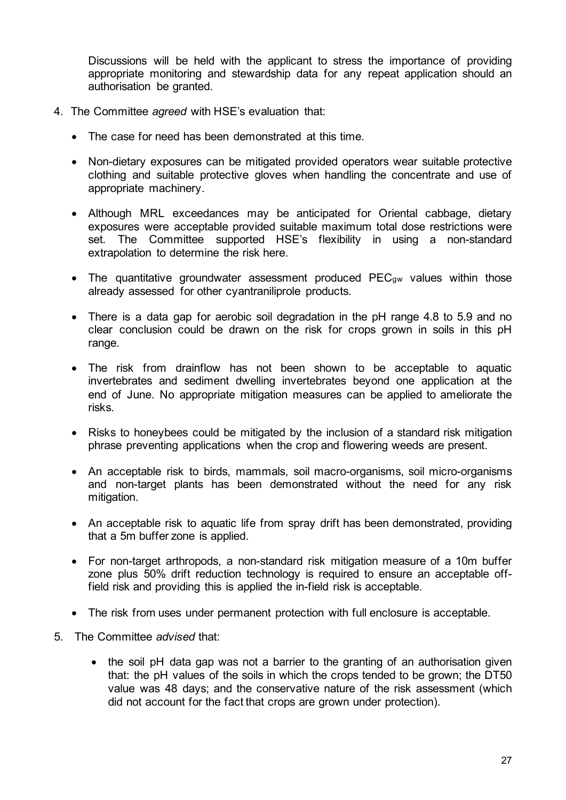Discussions will be held with the applicant to stress the importance of providing appropriate monitoring and stewardship data for any repeat application should an authorisation be granted.

- 4. The Committee *agreed* with HSE's evaluation that:
	- The case for need has been demonstrated at this time.
	- Non-dietary exposures can be mitigated provided operators wear suitable protective clothing and suitable protective gloves when handling the concentrate and use of appropriate machinery.
	- Although MRL exceedances may be anticipated for Oriental cabbage, dietary exposures were acceptable provided suitable maximum total dose restrictions were set. The Committee supported HSE's flexibility in using a non-standard extrapolation to determine the risk here.
	- The quantitative groundwater assessment produced PEC<sub>gw</sub> values within those already assessed for other cyantraniliprole products.
	- There is a data gap for aerobic soil degradation in the pH range 4.8 to 5.9 and no clear conclusion could be drawn on the risk for crops grown in soils in this pH range.
	- The risk from drainflow has not been shown to be acceptable to aquatic invertebrates and sediment dwelling invertebrates beyond one application at the end of June. No appropriate mitigation measures can be applied to ameliorate the risks.
	- Risks to honeybees could be mitigated by the inclusion of a standard risk mitigation phrase preventing applications when the crop and flowering weeds are present.
	- An acceptable risk to birds, mammals, soil macro-organisms, soil micro-organisms and non-target plants has been demonstrated without the need for any risk mitigation.
	- An acceptable risk to aquatic life from spray drift has been demonstrated, providing that a 5m buffer zone is applied.
	- For non-target arthropods, a non-standard risk mitigation measure of a 10m buffer zone plus 50% drift reduction technology is required to ensure an acceptable offfield risk and providing this is applied the in-field risk is acceptable.
	- The risk from uses under permanent protection with full enclosure is acceptable.
- 5. The Committee *advised* that:
	- the soil pH data gap was not a barrier to the granting of an authorisation given that: the pH values of the soils in which the crops tended to be grown; the DT50 value was 48 days; and the conservative nature of the risk assessment (which did not account for the fact that crops are grown under protection).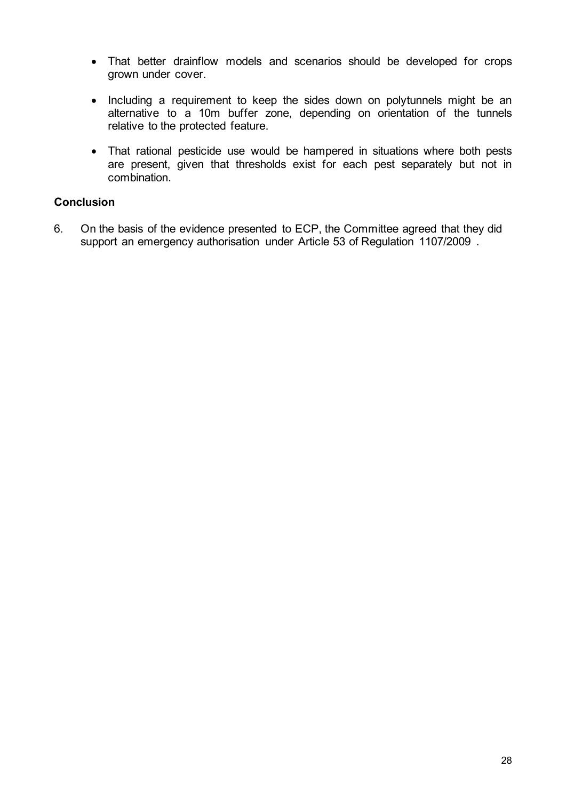- That better drainflow models and scenarios should be developed for crops grown under cover.
- Including a requirement to keep the sides down on polytunnels might be an alternative to a 10m buffer zone, depending on orientation of the tunnels relative to the protected feature.
- That rational pesticide use would be hampered in situations where both pests are present, given that thresholds exist for each pest separately but not in combination.

6. On the basis of the evidence presented to ECP, the Committee agreed that they did support an emergency authorisation under Article 53 of Regulation 1107/2009 .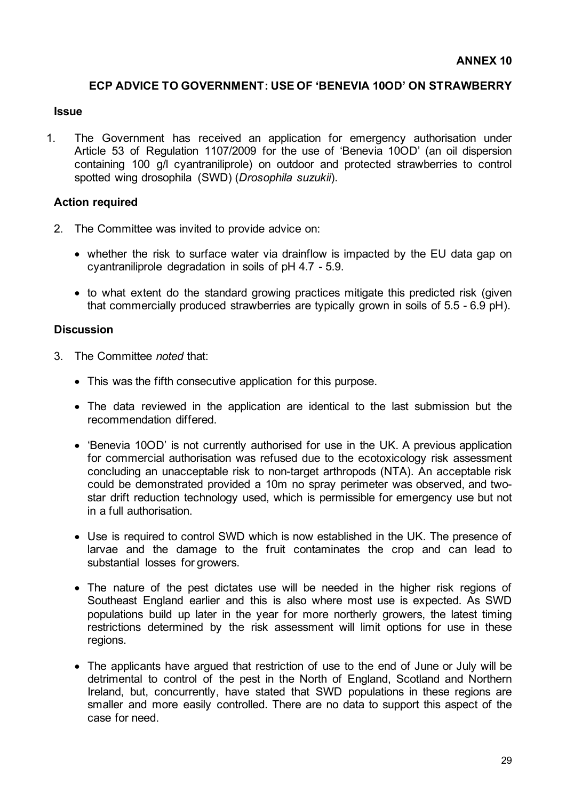#### **ECP ADVICE TO GOVERNMENT: USE OF 'BENEVIA 10OD' ON STRAWBERRY**

#### **Issue**

1. The Government has received an application for emergency authorisation under Article 53 of Regulation 1107/2009 for the use of 'Benevia 10OD' (an oil dispersion containing 100 g/l cyantraniliprole) on outdoor and protected strawberries to control spotted wing drosophila (SWD) (*Drosophila suzukii*).

#### **Action required**

- 2. The Committee was invited to provide advice on:
	- whether the risk to surface water via drainflow is impacted by the EU data gap on cyantraniliprole degradation in soils of pH 4.7 - 5.9.
	- to what extent do the standard growing practices mitigate this predicted risk (given that commercially produced strawberries are typically grown in soils of 5.5 - 6.9 pH).

- 3. The Committee *noted* that:
	- This was the fifth consecutive application for this purpose.
	- The data reviewed in the application are identical to the last submission but the recommendation differed.
	- 'Benevia 10OD' is not currently authorised for use in the UK. A previous application for commercial authorisation was refused due to the ecotoxicology risk assessment concluding an unacceptable risk to non-target arthropods (NTA). An acceptable risk could be demonstrated provided a 10m no spray perimeter was observed, and twostar drift reduction technology used, which is permissible for emergency use but not in a full authorisation.
	- Use is required to control SWD which is now established in the UK. The presence of larvae and the damage to the fruit contaminates the crop and can lead to substantial losses for growers.
	- The nature of the pest dictates use will be needed in the higher risk regions of Southeast England earlier and this is also where most use is expected. As SWD populations build up later in the year for more northerly growers, the latest timing restrictions determined by the risk assessment will limit options for use in these regions.
	- The applicants have argued that restriction of use to the end of June or July will be detrimental to control of the pest in the North of England, Scotland and Northern Ireland, but, concurrently, have stated that SWD populations in these regions are smaller and more easily controlled. There are no data to support this aspect of the case for need.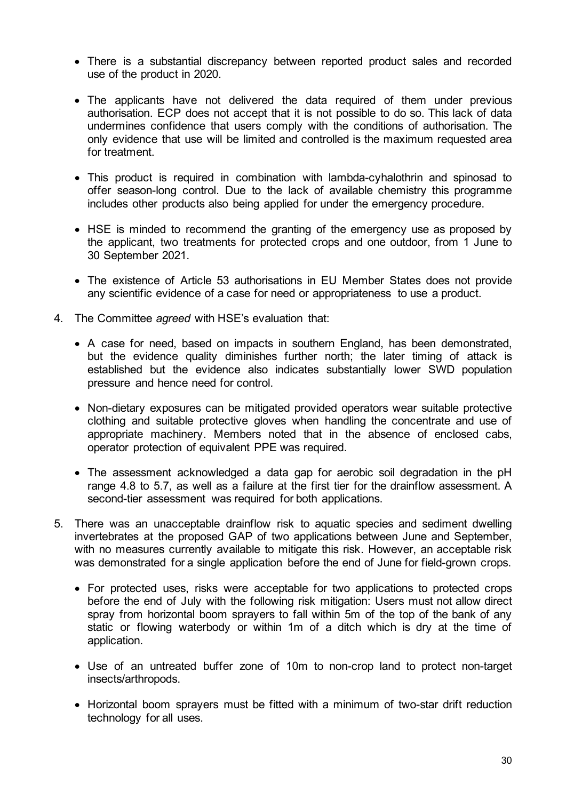- There is a substantial discrepancy between reported product sales and recorded use of the product in 2020.
- The applicants have not delivered the data required of them under previous authorisation. ECP does not accept that it is not possible to do so. This lack of data undermines confidence that users comply with the conditions of authorisation. The only evidence that use will be limited and controlled is the maximum requested area for treatment.
- This product is required in combination with lambda-cyhalothrin and spinosad to offer season-long control. Due to the lack of available chemistry this programme includes other products also being applied for under the emergency procedure.
- HSE is minded to recommend the granting of the emergency use as proposed by the applicant, two treatments for protected crops and one outdoor, from 1 June to 30 September 2021.
- The existence of Article 53 authorisations in EU Member States does not provide any scientific evidence of a case for need or appropriateness to use a product.
- 4. The Committee *agreed* with HSE's evaluation that:
	- A case for need, based on impacts in southern England, has been demonstrated, but the evidence quality diminishes further north; the later timing of attack is established but the evidence also indicates substantially lower SWD population pressure and hence need for control.
	- Non-dietary exposures can be mitigated provided operators wear suitable protective clothing and suitable protective gloves when handling the concentrate and use of appropriate machinery. Members noted that in the absence of enclosed cabs, operator protection of equivalent PPE was required.
	- The assessment acknowledged a data gap for aerobic soil degradation in the pH range 4.8 to 5.7, as well as a failure at the first tier for the drainflow assessment. A second-tier assessment was required for both applications.
- 5. There was an unacceptable drainflow risk to aquatic species and sediment dwelling invertebrates at the proposed GAP of two applications between June and September, with no measures currently available to mitigate this risk. However, an acceptable risk was demonstrated for a single application before the end of June for field-grown crops.
	- For protected uses, risks were acceptable for two applications to protected crops before the end of July with the following risk mitigation: Users must not allow direct spray from horizontal boom sprayers to fall within 5m of the top of the bank of any static or flowing waterbody or within 1m of a ditch which is dry at the time of application.
	- Use of an untreated buffer zone of 10m to non-crop land to protect non-target insects/arthropods.
	- Horizontal boom sprayers must be fitted with a minimum of two-star drift reduction technology for all uses.